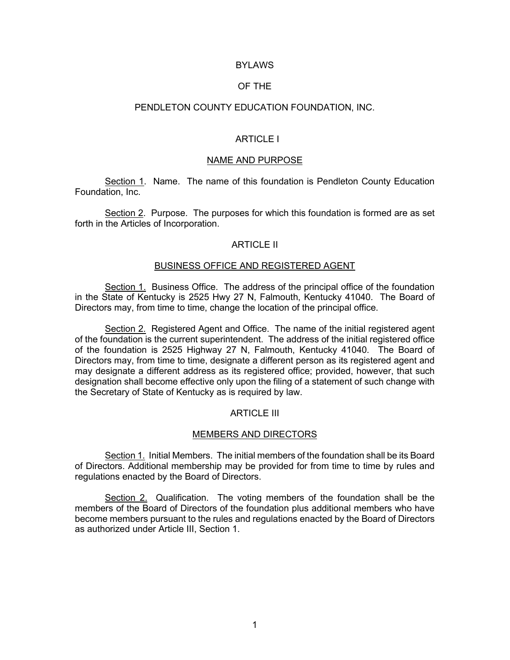# **BYLAWS**

## OF THE

### PENDLETON COUNTY EDUCATION FOUNDATION, INC.

## ARTICLE I

#### NAME AND PURPOSE

Section 1. Name. The name of this foundation is Pendleton County Education Foundation, Inc.

Section 2. Purpose. The purposes for which this foundation is formed are as set forth in the Articles of Incorporation.

#### ARTICLE II

### BUSINESS OFFICE AND REGISTERED AGENT

Section 1. Business Office. The address of the principal office of the foundation in the State of Kentucky is 2525 Hwy 27 N, Falmouth, Kentucky 41040. The Board of Directors may, from time to time, change the location of the principal office.

Section 2. Registered Agent and Office. The name of the initial registered agent of the foundation is the current superintendent. The address of the initial registered office of the foundation is 2525 Highway 27 N, Falmouth, Kentucky 41040. The Board of Directors may, from time to time, designate a different person as its registered agent and may designate a different address as its registered office; provided, however, that such designation shall become effective only upon the filing of a statement of such change with the Secretary of State of Kentucky as is required by law.

### ARTICLE III

#### MEMBERS AND DIRECTORS

Section 1. Initial Members. The initial members of the foundation shall be its Board of Directors. Additional membership may be provided for from time to time by rules and regulations enacted by the Board of Directors.

Section 2. Qualification. The voting members of the foundation shall be the members of the Board of Directors of the foundation plus additional members who have become members pursuant to the rules and regulations enacted by the Board of Directors as authorized under Article III, Section 1.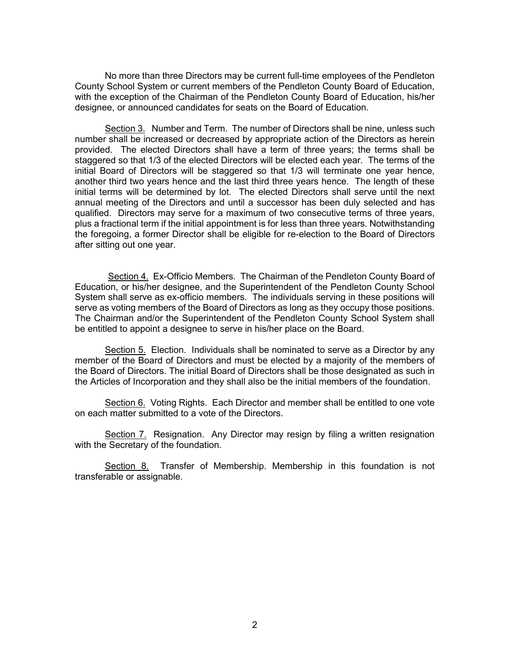No more than three Directors may be current full-time employees of the Pendleton County School System or current members of the Pendleton County Board of Education, with the exception of the Chairman of the Pendleton County Board of Education, his/her designee, or announced candidates for seats on the Board of Education.

Section 3. Number and Term. The number of Directors shall be nine, unless such number shall be increased or decreased by appropriate action of the Directors as herein provided. The elected Directors shall have a term of three years; the terms shall be staggered so that 1/3 of the elected Directors will be elected each year. The terms of the initial Board of Directors will be staggered so that 1/3 will terminate one year hence, another third two years hence and the last third three years hence. The length of these initial terms will be determined by lot. The elected Directors shall serve until the next annual meeting of the Directors and until a successor has been duly selected and has qualified. Directors may serve for a maximum of two consecutive terms of three years, plus a fractional term if the initial appointment is for less than three years. Notwithstanding the foregoing, a former Director shall be eligible for re-election to the Board of Directors after sitting out one year.

 Section 4. Ex-Officio Members. The Chairman of the Pendleton County Board of Education, or his/her designee, and the Superintendent of the Pendleton County School System shall serve as ex-officio members. The individuals serving in these positions will serve as voting members of the Board of Directors as long as they occupy those positions. The Chairman and/or the Superintendent of the Pendleton County School System shall be entitled to appoint a designee to serve in his/her place on the Board.

Section 5. Election. Individuals shall be nominated to serve as a Director by any member of the Board of Directors and must be elected by a majority of the members of the Board of Directors. The initial Board of Directors shall be those designated as such in the Articles of Incorporation and they shall also be the initial members of the foundation.

Section 6. Voting Rights. Each Director and member shall be entitled to one vote on each matter submitted to a vote of the Directors.

Section 7. Resignation. Any Director may resign by filing a written resignation with the Secretary of the foundation.

Section 8. Transfer of Membership. Membership in this foundation is not transferable or assignable.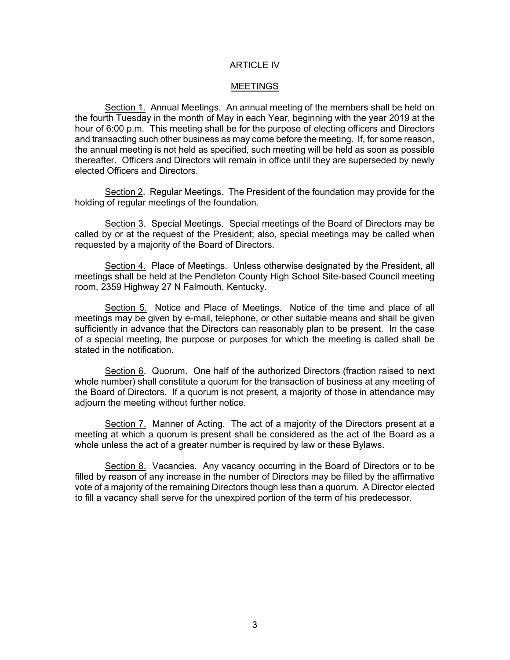# ARTICLE IV

#### **MEETINGS**

Section 1. Annual Meetings. An annual meeting of the members shall be held on the fourth Tuesday in the month of May in each Year, beginning with the year 2019 at the hour of 6:00 p.m. This meeting shall be for the purpose of electing officers and Directors and transacting such other business as may come before the meeting. If, for some reason, the annual meeting is not held as specified, such meeting will be held as soon as possible thereafter. Officers and Directors will remain in office until they are superseded by newly elected Officers and Directors.

Section 2. Regular Meetings. The President of the foundation may provide for the holding of regular meetings of the foundation.

Section 3. Special Meetings. Special meetings of the Board of Directors may be called by or at the request of the President; also, special meetings may be called when requested by a majority of the Board of Directors.

Section 4. Place of Meetings. Unless otherwise designated by the President, all meetings shall be held at the Pendleton County High School Site-based Council meeting room, 2359 Highway 27 N Falmouth, Kentucky.

Section 5. Notice and Place of Meetings. Notice of the time and place of all meetings may be given by e-mail, telephone, or other suitable means and shall be given sufficiently in advance that the Directors can reasonably plan to be present. In the case of a special meeting, the purpose or purposes for which the meeting is called shall be stated in the notification.

Section 6. Quorum. One half of the authorized Directors (fraction raised to next whole number) shall constitute a quorum for the transaction of business at any meeting of the Board of Directors. If a quorum is not present, a majority of those in attendance may adjourn the meeting without further notice.

Section 7. Manner of Acting. The act of a majority of the Directors present at a meeting at which a quorum is present shall be considered as the act of the Board as a whole unless the act of a greater number is required by law or these Bylaws.

Section 8. Vacancies. Any vacancy occurring in the Board of Directors or to be filled by reason of any increase in the number of Directors may be filled by the affirmative vote of a majority of the remaining Directors though less than a quorum. A Director elected to fill a vacancy shall serve for the unexpired portion of the term of his predecessor.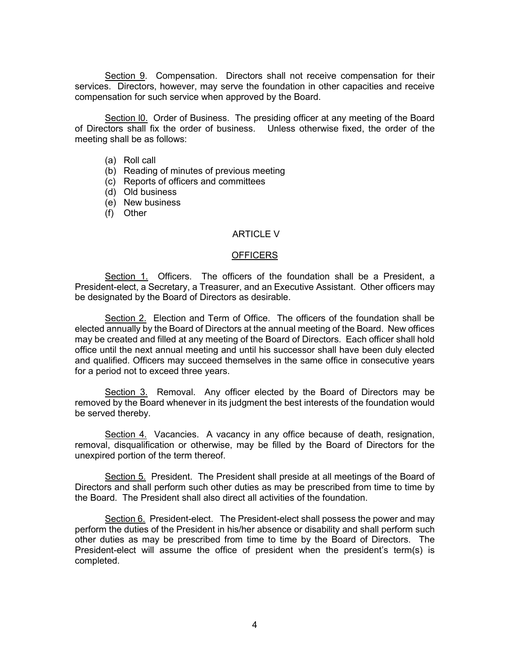Section 9. Compensation. Directors shall not receive compensation for their services. Directors, however, may serve the foundation in other capacities and receive compensation for such service when approved by the Board.

Section IO. Order of Business. The presiding officer at any meeting of the Board of Directors shall fix the order of business. Unless otherwise fixed, the order of the meeting shall be as follows:

- (a) Roll call
- (b) Reading of minutes of previous meeting
- (c) Reports of officers and committees
- (d) Old business
- (e) New business
- (f) Other

# ARTICLE V

#### **OFFICERS**

Section 1. Officers. The officers of the foundation shall be a President, a President-elect, a Secretary, a Treasurer, and an Executive Assistant. Other officers may be designated by the Board of Directors as desirable.

Section 2. Election and Term of Office. The officers of the foundation shall be elected annually by the Board of Directors at the annual meeting of the Board. New offices may be created and filled at any meeting of the Board of Directors. Each officer shall hold office until the next annual meeting and until his successor shall have been duly elected and qualified. Officers may succeed themselves in the same office in consecutive years for a period not to exceed three years.

Section 3. Removal. Any officer elected by the Board of Directors may be removed by the Board whenever in its judgment the best interests of the foundation would be served thereby.

Section 4. Vacancies. A vacancy in any office because of death, resignation, removal, disqualification or otherwise, may be filled by the Board of Directors for the unexpired portion of the term thereof.

Section 5. President. The President shall preside at all meetings of the Board of Directors and shall perform such other duties as may be prescribed from time to time by the Board. The President shall also direct all activities of the foundation.

Section 6. President-elect. The President-elect shall possess the power and may perform the duties of the President in his/her absence or disability and shall perform such other duties as may be prescribed from time to time by the Board of Directors. The President-elect will assume the office of president when the president's term(s) is completed.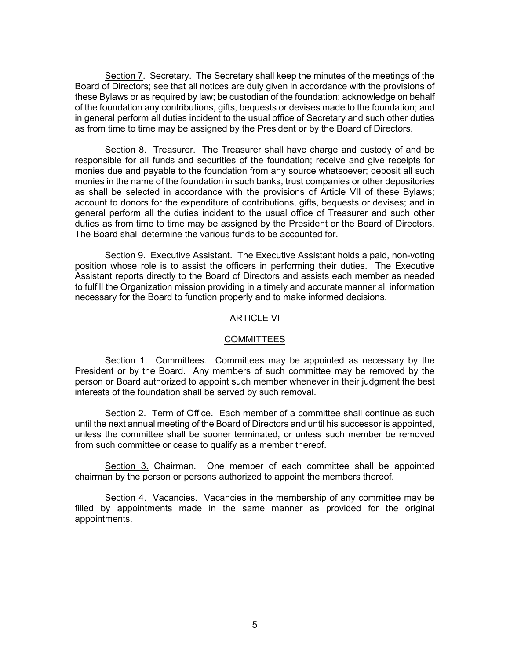Section 7. Secretary. The Secretary shall keep the minutes of the meetings of the Board of Directors; see that all notices are duly given in accordance with the provisions of these Bylaws or as required by law; be custodian of the foundation; acknowledge on behalf of the foundation any contributions, gifts, bequests or devises made to the foundation; and in general perform all duties incident to the usual office of Secretary and such other duties as from time to time may be assigned by the President or by the Board of Directors.

Section 8. Treasurer. The Treasurer shall have charge and custody of and be responsible for all funds and securities of the foundation; receive and give receipts for monies due and payable to the foundation from any source whatsoever; deposit all such monies in the name of the foundation in such banks, trust companies or other depositories as shall be selected in accordance with the provisions of Article VII of these Bylaws; account to donors for the expenditure of contributions, gifts, bequests or devises; and in general perform all the duties incident to the usual office of Treasurer and such other duties as from time to time may be assigned by the President or the Board of Directors. The Board shall determine the various funds to be accounted for.

Section 9. Executive Assistant. The Executive Assistant holds a paid, non-voting position whose role is to assist the officers in performing their duties. The Executive Assistant reports directly to the Board of Directors and assists each member as needed to fulfill the Organization mission providing in a timely and accurate manner all information necessary for the Board to function properly and to make informed decisions.

## ARTICLE VI

## **COMMITTEES**

Section 1. Committees. Committees may be appointed as necessary by the President or by the Board. Any members of such committee may be removed by the person or Board authorized to appoint such member whenever in their judgment the best interests of the foundation shall be served by such removal.

Section 2. Term of Office. Each member of a committee shall continue as such until the next annual meeting of the Board of Directors and until his successor is appointed, unless the committee shall be sooner terminated, or unless such member be removed from such committee or cease to qualify as a member thereof.

Section 3. Chairman. One member of each committee shall be appointed chairman by the person or persons authorized to appoint the members thereof.

Section 4. Vacancies. Vacancies in the membership of any committee may be filled by appointments made in the same manner as provided for the original appointments.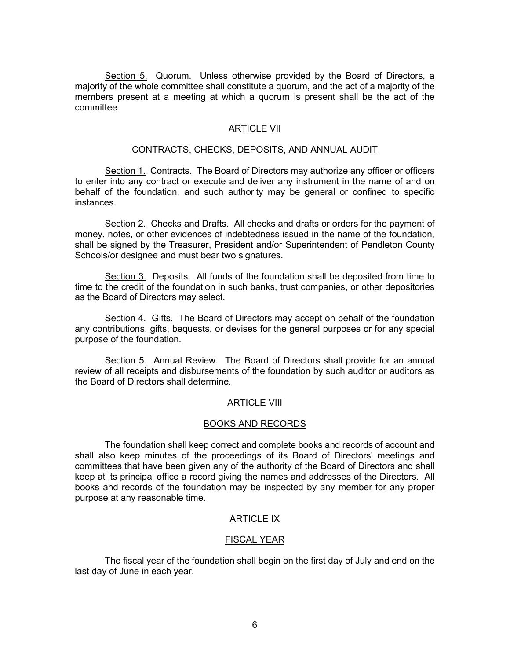Section 5. Quorum. Unless otherwise provided by the Board of Directors, a majority of the whole committee shall constitute a quorum, and the act of a majority of the members present at a meeting at which a quorum is present shall be the act of the committee.

# ARTICLE VII

## CONTRACTS, CHECKS, DEPOSITS, AND ANNUAL AUDIT

Section 1. Contracts. The Board of Directors may authorize any officer or officers to enter into any contract or execute and deliver any instrument in the name of and on behalf of the foundation, and such authority may be general or confined to specific instances.

Section 2. Checks and Drafts. All checks and drafts or orders for the payment of money, notes, or other evidences of indebtedness issued in the name of the foundation, shall be signed by the Treasurer, President and/or Superintendent of Pendleton County Schools/or designee and must bear two signatures.

Section 3. Deposits. All funds of the foundation shall be deposited from time to time to the credit of the foundation in such banks, trust companies, or other depositories as the Board of Directors may select.

Section 4. Gifts. The Board of Directors may accept on behalf of the foundation any contributions, gifts, bequests, or devises for the general purposes or for any special purpose of the foundation.

Section 5. Annual Review. The Board of Directors shall provide for an annual review of all receipts and disbursements of the foundation by such auditor or auditors as the Board of Directors shall determine.

## ARTICLE VIII

## BOOKS AND RECORDS

The foundation shall keep correct and complete books and records of account and shall also keep minutes of the proceedings of its Board of Directors' meetings and committees that have been given any of the authority of the Board of Directors and shall keep at its principal office a record giving the names and addresses of the Directors. All books and records of the foundation may be inspected by any member for any proper purpose at any reasonable time.

# ARTICLE IX

# FISCAL YEAR

The fiscal year of the foundation shall begin on the first day of July and end on the last day of June in each year.